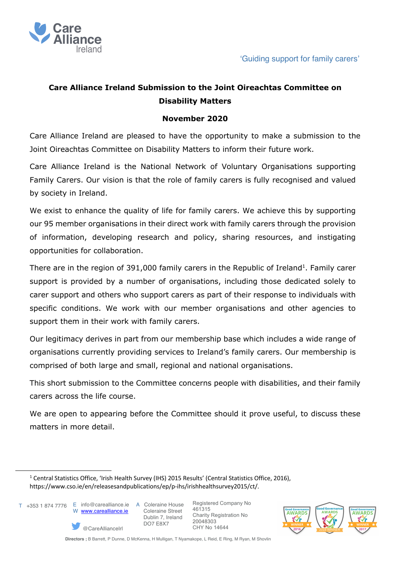

# **Care Alliance Ireland Submission to the Joint Oireachtas Committee on Disability Matters**

## **November 2020**

Care Alliance Ireland are pleased to have the opportunity to make a submission to the Joint Oireachtas Committee on Disability Matters to inform their future work.

Care Alliance Ireland is the National Network of Voluntary Organisations supporting Family Carers. Our vision is that the role of family carers is fully recognised and valued by society in Ireland.

We exist to enhance the quality of life for family carers. We achieve this by supporting our 95 member organisations in their direct work with family carers through the provision of information, developing research and policy, sharing resources, and instigating opportunities for collaboration.

There are in the region of 391,000 family carers in the Republic of Ireland<sup>1</sup>. Family carer support is provided by a number of organisations, including those dedicated solely to carer support and others who support carers as part of their response to individuals with specific conditions. We work with our member organisations and other agencies to support them in their work with family carers.

Our legitimacy derives in part from our membership base which includes a wide range of organisations currently providing services to Ireland's family carers. Our membership is comprised of both large and small, regional and national organisations.

This short submission to the Committee concerns people with disabilities, and their family carers across the life course.

We are open to appearing before the Committee should it prove useful, to discuss these matters in more detail.



@CareAllianceIrl

 Coleraine Street Dublin 7, Ireland DO7 E8X7



<sup>&</sup>lt;sup>1</sup> Central Statistics Office, 'Irish Health Survey (IHS) 2015 Results' (Central Statistics Office, 2016), https://www.cso.ie/en/releasesandpublications/ep/p-ihs/irishhealthsurvey2015/ct/.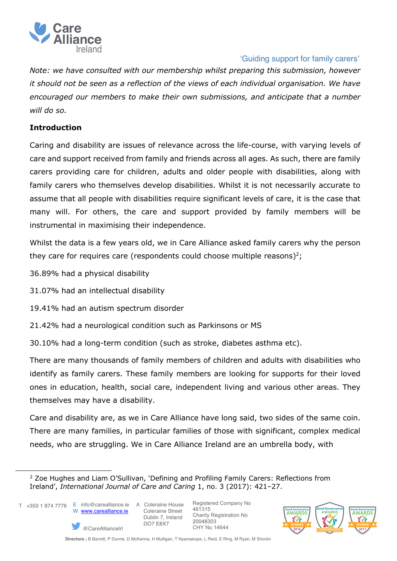

*Note: we have consulted with our membership whilst preparing this submission, however it should not be seen as a reflection of the views of each individual organisation. We have encouraged our members to make their own submissions, and anticipate that a number will do so.* 

## **Introduction**

Caring and disability are issues of relevance across the life-course, with varying levels of care and support received from family and friends across all ages. As such, there are family carers providing care for children, adults and older people with disabilities, along with family carers who themselves develop disabilities. Whilst it is not necessarily accurate to assume that all people with disabilities require significant levels of care, it is the case that many will. For others, the care and support provided by family members will be instrumental in maximising their independence.

Whilst the data is a few years old, we in Care Alliance asked family carers why the person they care for requires care (respondents could choose multiple reasons)<sup>2</sup>;

36.89% had a physical disability

31.07% had an intellectual disability

19.41% had an autism spectrum disorder

21.42% had a neurological condition such as Parkinsons or MS

30.10% had a long-term condition (such as stroke, diabetes asthma etc).

There are many thousands of family members of children and adults with disabilities who identify as family carers. These family members are looking for supports for their loved ones in education, health, social care, independent living and various other areas. They themselves may have a disability.

Care and disability are, as we in Care Alliance have long said, two sides of the same coin. There are many families, in particular families of those with significant, complex medical needs, who are struggling. We in Care Alliance Ireland are an umbrella body, with



@CareAllianceIrl

 Coleraine Street Dublin 7, Ireland DO7 E8X7



<sup>&</sup>lt;sup>2</sup> Zoe Hughes and Liam O'Sullivan, 'Defining and Profiling Family Carers: Reflections from Ireland', *International Journal of Care and Caring* 1, no. 3 (2017): 421–27.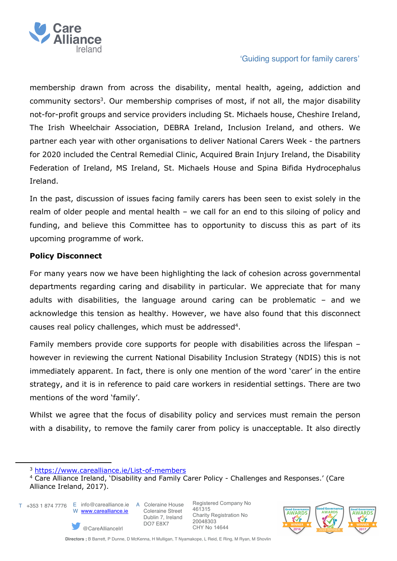

membership drawn from across the disability, mental health, ageing, addiction and community sectors<sup>3</sup>. Our membership comprises of most, if not all, the major disability not-for-profit groups and service providers including St. Michaels house, Cheshire Ireland, The Irish Wheelchair Association, DEBRA Ireland, Inclusion Ireland, and others. We partner each year with other organisations to deliver National Carers Week - the partners for 2020 included the Central Remedial Clinic, Acquired Brain Injury Ireland, the Disability Federation of Ireland, MS Ireland, St. Michaels House and Spina Bifida Hydrocephalus Ireland.

In the past, discussion of issues facing family carers has been seen to exist solely in the realm of older people and mental health – we call for an end to this siloing of policy and funding, and believe this Committee has to opportunity to discuss this as part of its upcoming programme of work.

### **Policy Disconnect**

For many years now we have been highlighting the lack of cohesion across governmental departments regarding caring and disability in particular. We appreciate that for many adults with disabilities, the language around caring can be problematic – and we acknowledge this tension as healthy. However, we have also found that this disconnect causes real policy challenges, which must be addressed<sup>4</sup>.

Family members provide core supports for people with disabilities across the lifespan – however in reviewing the current National Disability Inclusion Strategy (NDIS) this is not immediately apparent. In fact, there is only one mention of the word 'carer' in the entire strategy, and it is in reference to paid care workers in residential settings. There are two mentions of the word 'family'.

Whilst we agree that the focus of disability policy and services must remain the person with a disability, to remove the family carer from policy is unacceptable. It also directly

@CareAllianceIrl

T +353 1 874 7776 E info@carealliance.ie A Coleraine House

W www.carealliance.ie

 Coleraine Street Dublin 7, Ireland DO7 E8X7



<sup>3</sup> https://www.carealliance.ie/List-of-members

<sup>4</sup> Care Alliance Ireland, 'Disability and Family Carer Policy - Challenges and Responses.' (Care Alliance Ireland, 2017).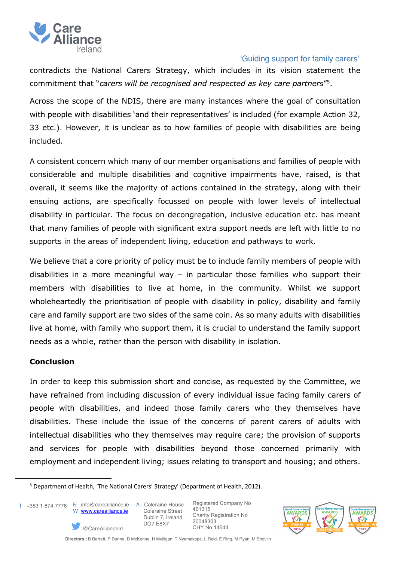

contradicts the National Carers Strategy, which includes in its vision statement the commitment that "*carers will be recognised and respected as key care partners*"5.

Across the scope of the NDIS, there are many instances where the goal of consultation with people with disabilities 'and their representatives' is included (for example Action 32, 33 etc.). However, it is unclear as to how families of people with disabilities are being included.

A consistent concern which many of our member organisations and families of people with considerable and multiple disabilities and cognitive impairments have, raised, is that overall, it seems like the majority of actions contained in the strategy, along with their ensuing actions, are specifically focussed on people with lower levels of intellectual disability in particular. The focus on decongregation, inclusive education etc. has meant that many families of people with significant extra support needs are left with little to no supports in the areas of independent living, education and pathways to work.

We believe that a core priority of policy must be to include family members of people with disabilities in a more meaningful way – in particular those families who support their members with disabilities to live at home, in the community. Whilst we support wholeheartedly the prioritisation of people with disability in policy, disability and family care and family support are two sides of the same coin. As so many adults with disabilities live at home, with family who support them, it is crucial to understand the family support needs as a whole, rather than the person with disability in isolation.

## **Conclusion**

In order to keep this submission short and concise, as requested by the Committee, we have refrained from including discussion of every individual issue facing family carers of people with disabilities, and indeed those family carers who they themselves have disabilities. These include the issue of the concerns of parent carers of adults with intellectual disabilities who they themselves may require care; the provision of supports and services for people with disabilities beyond those concerned primarily with employment and independent living; issues relating to transport and housing; and others.

T +353 1 874 7776 E info@carealliance.ie A Coleraine House

W www.carealliance.ie

@CareAllianceIrl

 Coleraine Street Dublin 7, Ireland DO7 E8X7



<sup>5</sup> Department of Health, 'The National Carers' Strategy' (Department of Health, 2012).